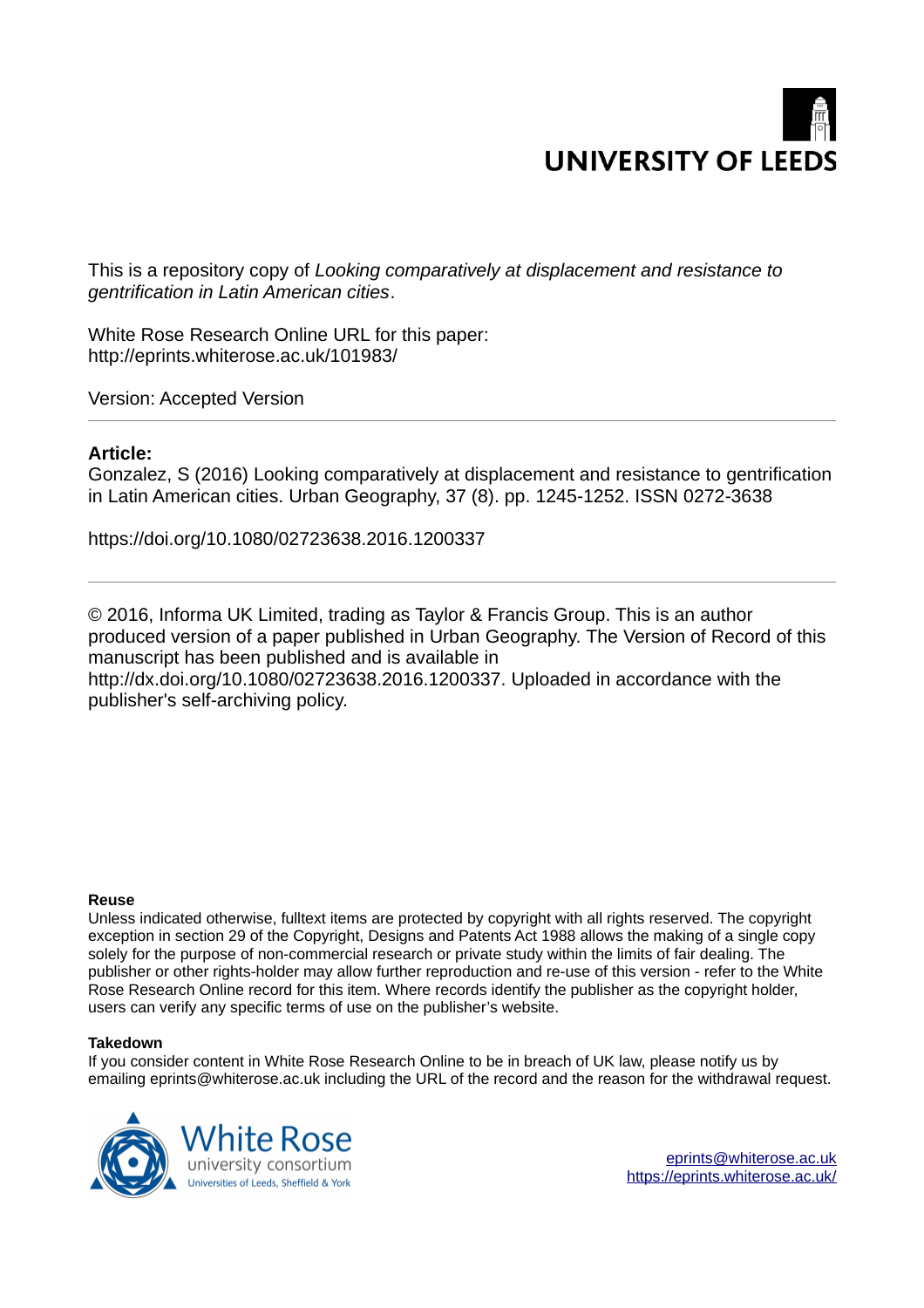

This is a repository copy of *Looking comparatively at displacement and resistance to gentrification in Latin American cities*.

White Rose Research Online URL for this paper: http://eprints.whiterose.ac.uk/101983/

Version: Accepted Version

# **Article:**

Gonzalez, S (2016) Looking comparatively at displacement and resistance to gentrification in Latin American cities. Urban Geography, 37 (8). pp. 1245-1252. ISSN 0272-3638

https://doi.org/10.1080/02723638.2016.1200337

© 2016, Informa UK Limited, trading as Taylor & Francis Group. This is an author produced version of a paper published in Urban Geography. The Version of Record of this manuscript has been published and is available in http://dx.doi.org/10.1080/02723638.2016.1200337. Uploaded in accordance with the publisher's self-archiving policy.

#### **Reuse**

Unless indicated otherwise, fulltext items are protected by copyright with all rights reserved. The copyright exception in section 29 of the Copyright, Designs and Patents Act 1988 allows the making of a single copy solely for the purpose of non-commercial research or private study within the limits of fair dealing. The publisher or other rights-holder may allow further reproduction and re-use of this version - refer to the White Rose Research Online record for this item. Where records identify the publisher as the copyright holder, users can verify any specific terms of use on the publisher's website.

### **Takedown**

If you consider content in White Rose Research Online to be in breach of UK law, please notify us by emailing eprints@whiterose.ac.uk including the URL of the record and the reason for the withdrawal request.

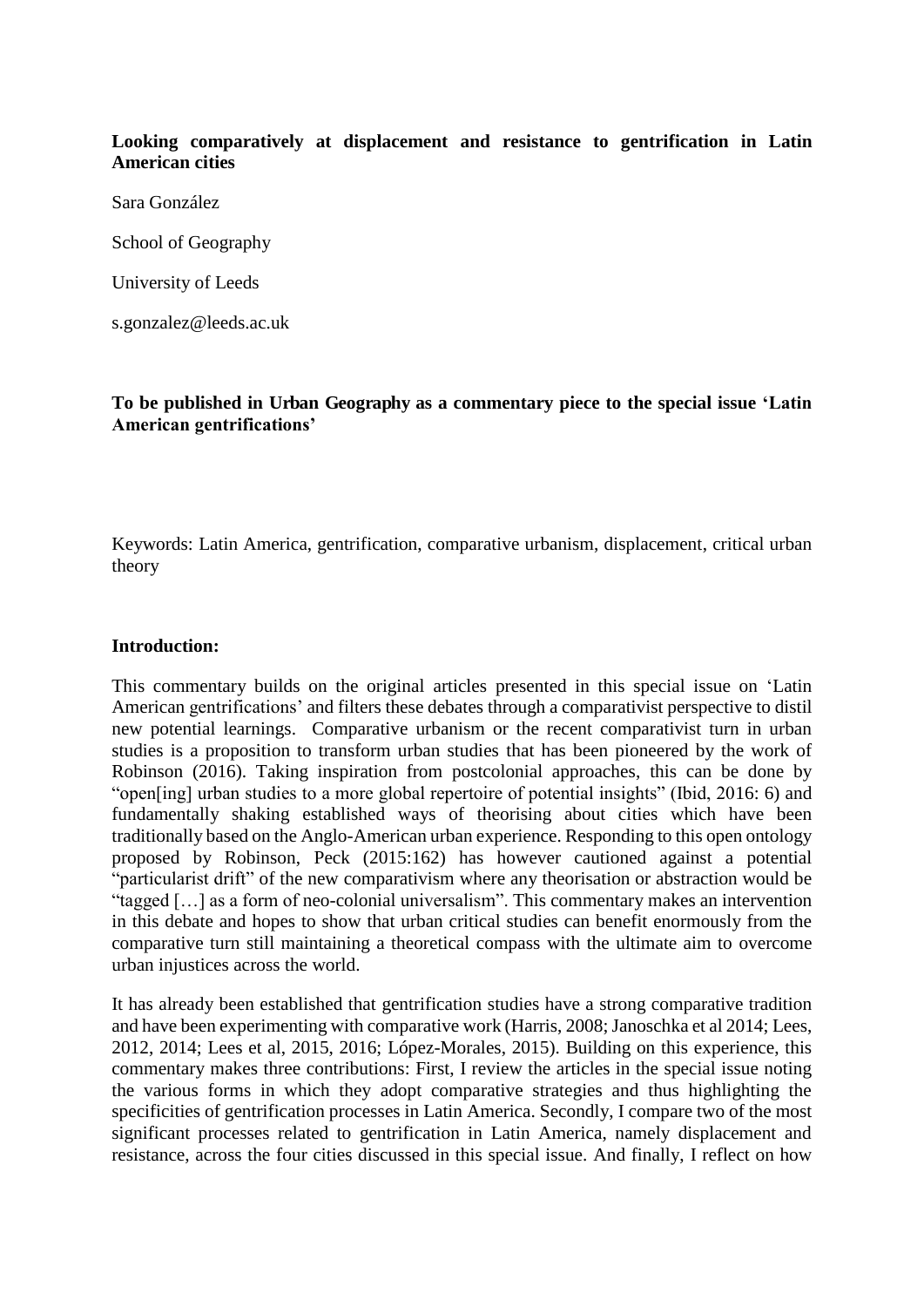# **Looking comparatively at displacement and resistance to gentrification in Latin American cities**

Sara González

School of Geography

University of Leeds

s.gonzalez@leeds.ac.uk

**To be published in Urban Geography as a commentary piece to the special issue 'Latin American gentrifications'**

Keywords: Latin America, gentrification, comparative urbanism, displacement, critical urban theory

#### **Introduction:**

This commentary builds on the original articles presented in this special issue on 'Latin American gentrifications' and filters these debates through a comparativist perspective to distil new potential learnings. Comparative urbanism or the recent comparativist turn in urban studies is a proposition to transform urban studies that has been pioneered by the work of Robinson (2016). Taking inspiration from postcolonial approaches, this can be done by "open[ing] urban studies to a more global repertoire of potential insights" (Ibid, 2016: 6) and fundamentally shaking established ways of theorising about cities which have been traditionally based on the Anglo-American urban experience. Responding to this open ontology proposed by Robinson, Peck (2015:162) has however cautioned against a potential "particularist drift" of the new comparativism where any theorisation or abstraction would be "tagged […] as a form of neo-colonial universalism". This commentary makes an intervention in this debate and hopes to show that urban critical studies can benefit enormously from the comparative turn still maintaining a theoretical compass with the ultimate aim to overcome urban injustices across the world.

It has already been established that gentrification studies have a strong comparative tradition and have been experimenting with comparative work (Harris, 2008; Janoschka et al 2014; Lees, 2012, 2014; Lees et al, 2015, 2016; López-Morales, 2015). Building on this experience, this commentary makes three contributions: First, I review the articles in the special issue noting the various forms in which they adopt comparative strategies and thus highlighting the specificities of gentrification processes in Latin America. Secondly, I compare two of the most significant processes related to gentrification in Latin America, namely displacement and resistance, across the four cities discussed in this special issue. And finally, I reflect on how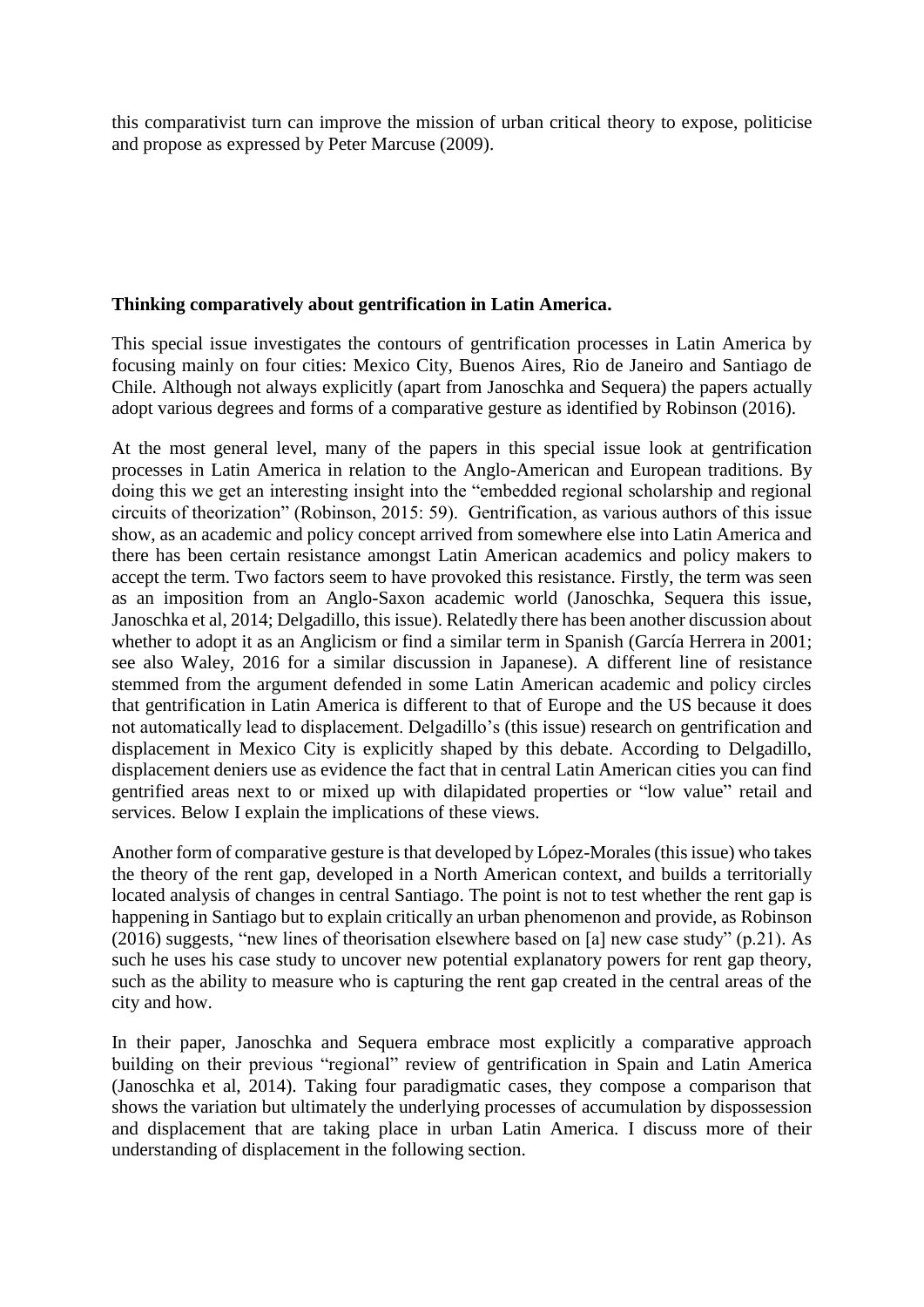this comparativist turn can improve the mission of urban critical theory to expose, politicise and propose as expressed by Peter Marcuse (2009).

# **Thinking comparatively about gentrification in Latin America.**

This special issue investigates the contours of gentrification processes in Latin America by focusing mainly on four cities: Mexico City, Buenos Aires, Rio de Janeiro and Santiago de Chile. Although not always explicitly (apart from Janoschka and Sequera) the papers actually adopt various degrees and forms of a comparative gesture as identified by Robinson (2016).

At the most general level, many of the papers in this special issue look at gentrification processes in Latin America in relation to the Anglo-American and European traditions. By doing this we get an interesting insight into the "embedded regional scholarship and regional circuits of theorization" (Robinson, 2015: 59). Gentrification, as various authors of this issue show, as an academic and policy concept arrived from somewhere else into Latin America and there has been certain resistance amongst Latin American academics and policy makers to accept the term. Two factors seem to have provoked this resistance. Firstly, the term was seen as an imposition from an Anglo-Saxon academic world (Janoschka, Sequera this issue, Janoschka et al, 2014; Delgadillo, this issue). Relatedly there has been another discussion about whether to adopt it as an Anglicism or find a similar term in Spanish (García Herrera in 2001; see also Waley, 2016 for a similar discussion in Japanese). A different line of resistance stemmed from the argument defended in some Latin American academic and policy circles that gentrification in Latin America is different to that of Europe and the US because it does not automatically lead to displacement. Delgadillo's (this issue) research on gentrification and displacement in Mexico City is explicitly shaped by this debate. According to Delgadillo, displacement deniers use as evidence the fact that in central Latin American cities you can find gentrified areas next to or mixed up with dilapidated properties or "low value" retail and services. Below I explain the implications of these views.

Another form of comparative gesture is that developed by López-Morales (this issue) who takes the theory of the rent gap, developed in a North American context, and builds a territorially located analysis of changes in central Santiago. The point is not to test whether the rent gap is happening in Santiago but to explain critically an urban phenomenon and provide, as Robinson (2016) suggests, "new lines of theorisation elsewhere based on [a] new case study" (p.21). As such he uses his case study to uncover new potential explanatory powers for rent gap theory, such as the ability to measure who is capturing the rent gap created in the central areas of the city and how.

In their paper, Janoschka and Sequera embrace most explicitly a comparative approach building on their previous "regional" review of gentrification in Spain and Latin America (Janoschka et al, 2014). Taking four paradigmatic cases, they compose a comparison that shows the variation but ultimately the underlying processes of accumulation by dispossession and displacement that are taking place in urban Latin America. I discuss more of their understanding of displacement in the following section.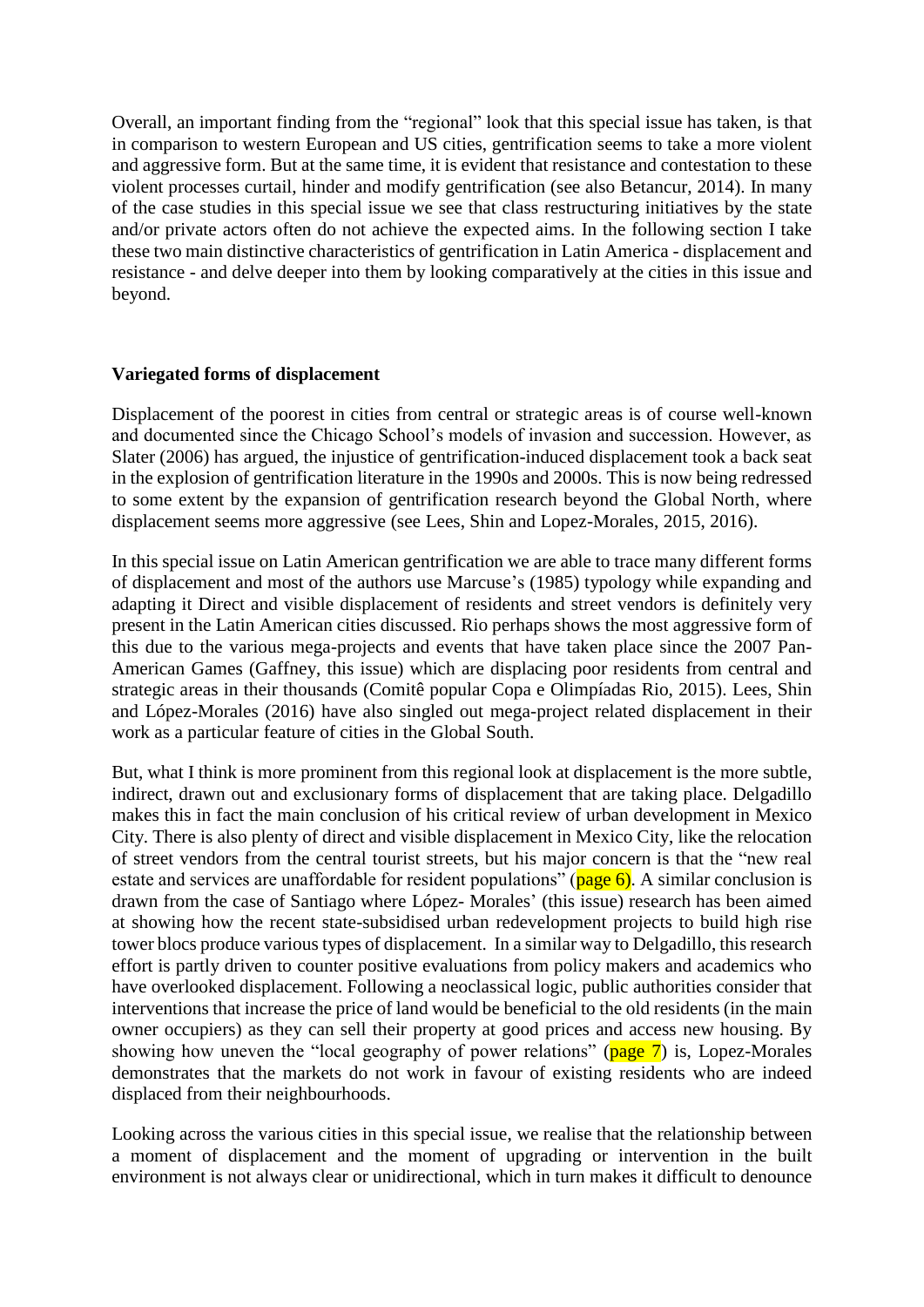Overall, an important finding from the "regional" look that this special issue has taken, is that in comparison to western European and US cities, gentrification seems to take a more violent and aggressive form. But at the same time, it is evident that resistance and contestation to these violent processes curtail, hinder and modify gentrification (see also Betancur, 2014). In many of the case studies in this special issue we see that class restructuring initiatives by the state and/or private actors often do not achieve the expected aims. In the following section I take these two main distinctive characteristics of gentrification in Latin America - displacement and resistance - and delve deeper into them by looking comparatively at the cities in this issue and beyond.

## **Variegated forms of displacement**

Displacement of the poorest in cities from central or strategic areas is of course well-known and documented since the Chicago School's models of invasion and succession. However, as Slater (2006) has argued, the injustice of gentrification-induced displacement took a back seat in the explosion of gentrification literature in the 1990s and 2000s. This is now being redressed to some extent by the expansion of gentrification research beyond the Global North, where displacement seems more aggressive (see Lees, Shin and Lopez-Morales, 2015, 2016).

In this special issue on Latin American gentrification we are able to trace many different forms of displacement and most of the authors use Marcuse's (1985) typology while expanding and adapting it Direct and visible displacement of residents and street vendors is definitely very present in the Latin American cities discussed. Rio perhaps shows the most aggressive form of this due to the various mega-projects and events that have taken place since the 2007 Pan-American Games (Gaffney, this issue) which are displacing poor residents from central and strategic areas in their thousands (Comitê popular Copa e Olimpíadas Rio, 2015). Lees, Shin and López-Morales (2016) have also singled out mega-project related displacement in their work as a particular feature of cities in the Global South.

But, what I think is more prominent from this regional look at displacement is the more subtle, indirect, drawn out and exclusionary forms of displacement that are taking place. Delgadillo makes this in fact the main conclusion of his critical review of urban development in Mexico City. There is also plenty of direct and visible displacement in Mexico City, like the relocation of street vendors from the central tourist streets, but his major concern is that the "new real estate and services are unaffordable for resident populations" ( $page 6$ ). A similar conclusion is drawn from the case of Santiago where López- Morales' (this issue) research has been aimed at showing how the recent state-subsidised urban redevelopment projects to build high rise tower blocs produce various types of displacement. In a similar way to Delgadillo, this research effort is partly driven to counter positive evaluations from policy makers and academics who have overlooked displacement. Following a neoclassical logic, public authorities consider that interventions that increase the price of land would be beneficial to the old residents (in the main owner occupiers) as they can sell their property at good prices and access new housing. By showing how uneven the "local geography of power relations" ( $page 7$ ) is, Lopez-Morales demonstrates that the markets do not work in favour of existing residents who are indeed displaced from their neighbourhoods.

Looking across the various cities in this special issue, we realise that the relationship between a moment of displacement and the moment of upgrading or intervention in the built environment is not always clear or unidirectional, which in turn makes it difficult to denounce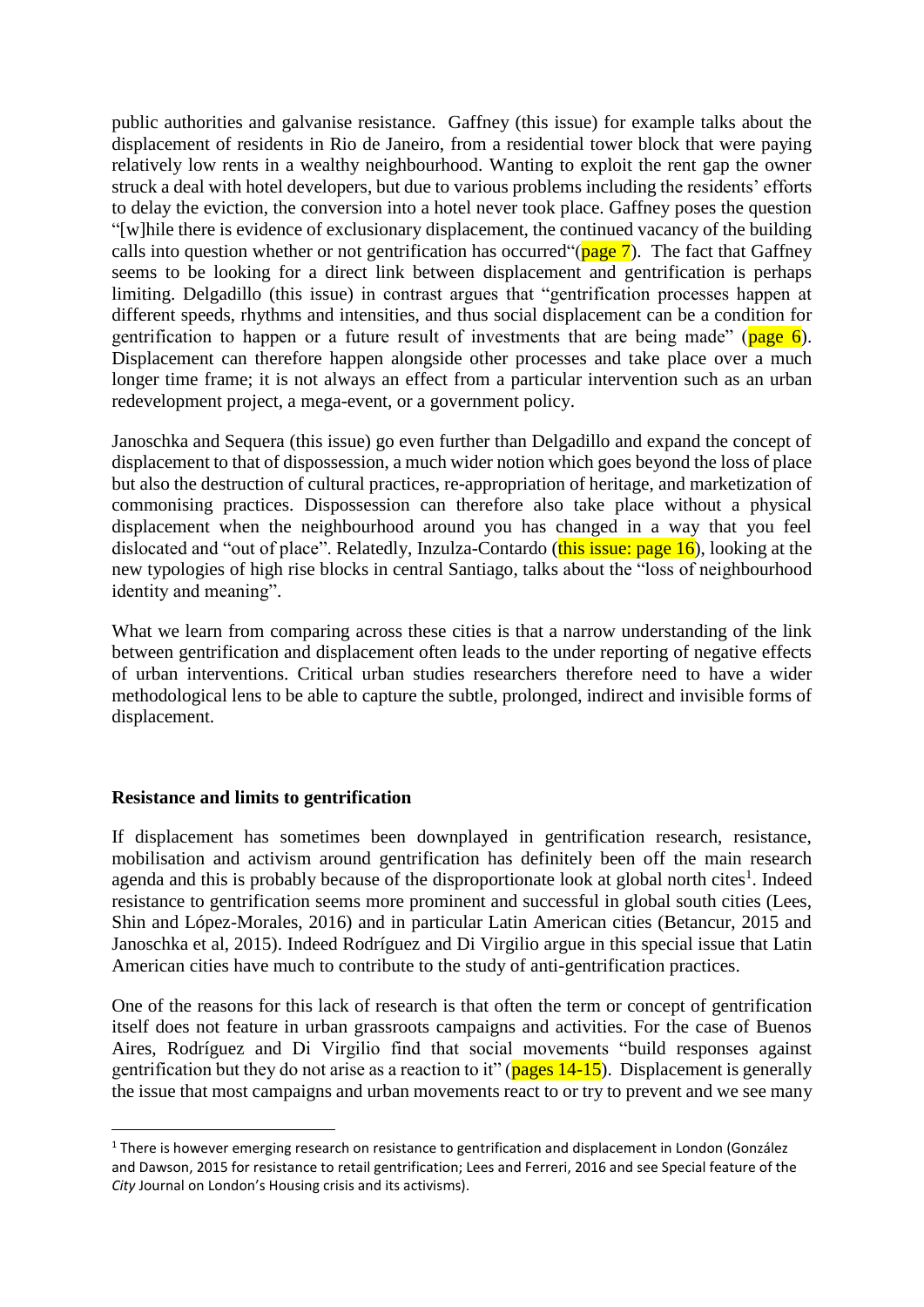public authorities and galvanise resistance. Gaffney (this issue) for example talks about the displacement of residents in Rio de Janeiro, from a residential tower block that were paying relatively low rents in a wealthy neighbourhood. Wanting to exploit the rent gap the owner struck a deal with hotel developers, but due to various problems including the residents' efforts to delay the eviction, the conversion into a hotel never took place. Gaffney poses the question "[w]hile there is evidence of exclusionary displacement, the continued vacancy of the building calls into question whether or not gentrification has occurred  $\gamma$  age  $\gamma$ ). The fact that Gaffney seems to be looking for a direct link between displacement and gentrification is perhaps limiting. Delgadillo (this issue) in contrast argues that "gentrification processes happen at different speeds, rhythms and intensities, and thus social displacement can be a condition for gentrification to happen or a future result of investments that are being made" ( $page 6$ ). Displacement can therefore happen alongside other processes and take place over a much longer time frame; it is not always an effect from a particular intervention such as an urban redevelopment project, a mega-event, or a government policy.

Janoschka and Sequera (this issue) go even further than Delgadillo and expand the concept of displacement to that of dispossession, a much wider notion which goes beyond the loss of place but also the destruction of cultural practices, re-appropriation of heritage, and marketization of commonising practices. Dispossession can therefore also take place without a physical displacement when the neighbourhood around you has changed in a way that you feel dislocated and "out of place". Relatedly, Inzulza-Contardo (this issue: page 16), looking at the new typologies of high rise blocks in central Santiago, talks about the "loss of neighbourhood identity and meaning".

What we learn from comparing across these cities is that a narrow understanding of the link between gentrification and displacement often leads to the under reporting of negative effects of urban interventions. Critical urban studies researchers therefore need to have a wider methodological lens to be able to capture the subtle, prolonged, indirect and invisible forms of displacement.

## **Resistance and limits to gentrification**

-

If displacement has sometimes been downplayed in gentrification research, resistance, mobilisation and activism around gentrification has definitely been off the main research agenda and this is probably because of the disproportionate look at global north cites<sup>1</sup>. Indeed resistance to gentrification seems more prominent and successful in global south cities (Lees, Shin and López-Morales, 2016) and in particular Latin American cities (Betancur, 2015 and Janoschka et al, 2015). Indeed Rodríguez and Di Virgilio argue in this special issue that Latin American cities have much to contribute to the study of anti-gentrification practices.

One of the reasons for this lack of research is that often the term or concept of gentrification itself does not feature in urban grassroots campaigns and activities. For the case of Buenos Aires, Rodríguez and Di Virgilio find that social movements "build responses against gentrification but they do not arise as a reaction to it" ( $_{\text{pages}}$  14-15). Displacement is generally the issue that most campaigns and urban movements react to or try to prevent and we see many

<sup>&</sup>lt;sup>1</sup> There is however emerging research on resistance to gentrification and displacement in London (González and Dawson, 2015 for resistance to retail gentrification; Lees and Ferreri, 2016 and see Special feature of the *City* Journal on London's Housing crisis and its activisms).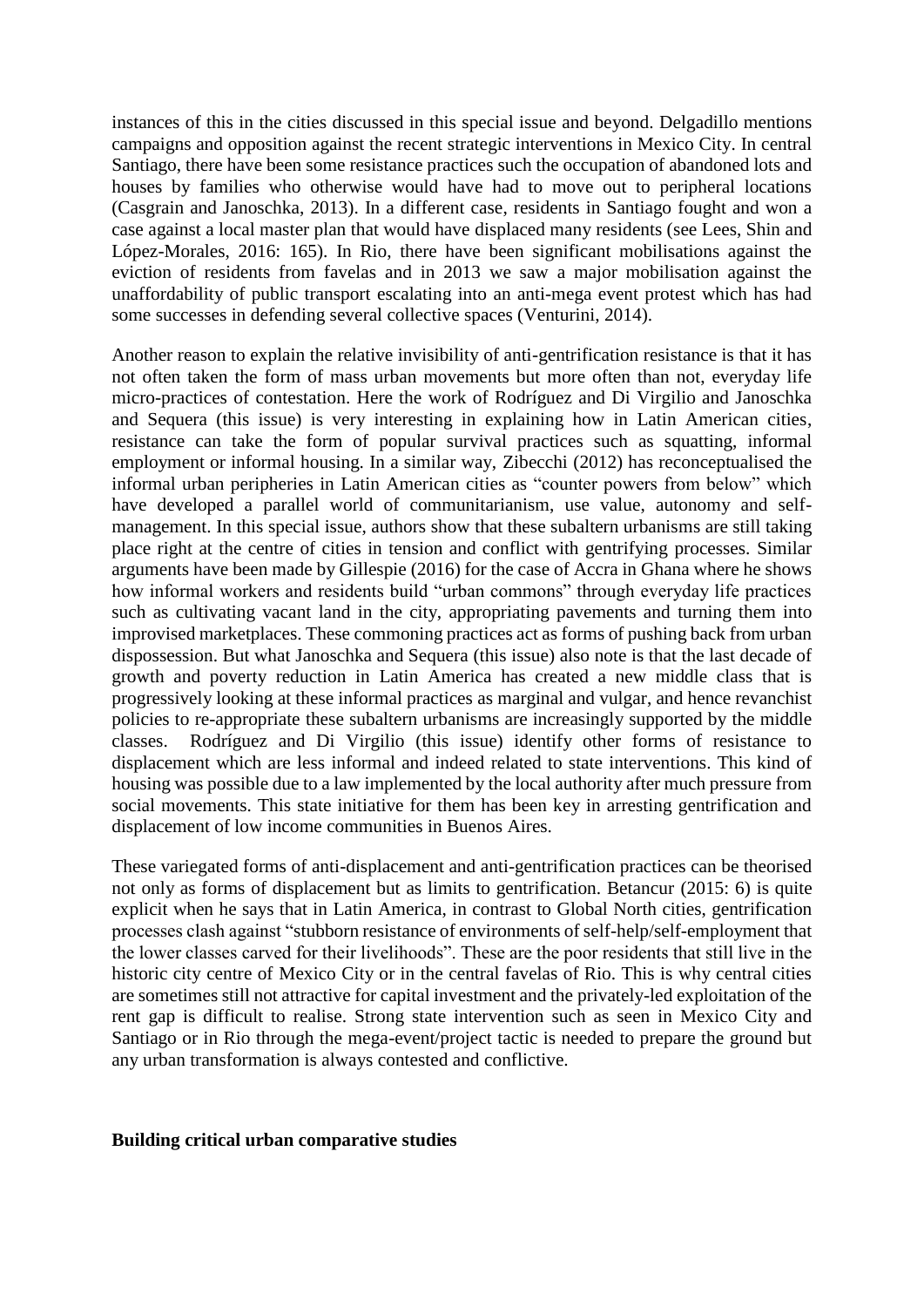instances of this in the cities discussed in this special issue and beyond. Delgadillo mentions campaigns and opposition against the recent strategic interventions in Mexico City. In central Santiago, there have been some resistance practices such the occupation of abandoned lots and houses by families who otherwise would have had to move out to peripheral locations (Casgrain and Janoschka, 2013). In a different case, residents in Santiago fought and won a case against a local master plan that would have displaced many residents (see Lees, Shin and López-Morales, 2016: 165). In Rio, there have been significant mobilisations against the eviction of residents from favelas and in 2013 we saw a major mobilisation against the unaffordability of public transport escalating into an anti-mega event protest which has had some successes in defending several collective spaces (Venturini, 2014).

Another reason to explain the relative invisibility of anti-gentrification resistance is that it has not often taken the form of mass urban movements but more often than not, everyday life micro-practices of contestation. Here the work of Rodríguez and Di Virgilio and Janoschka and Sequera (this issue) is very interesting in explaining how in Latin American cities, resistance can take the form of popular survival practices such as squatting, informal employment or informal housing. In a similar way, Zibecchi (2012) has reconceptualised the informal urban peripheries in Latin American cities as "counter powers from below" which have developed a parallel world of communitarianism, use value, autonomy and selfmanagement. In this special issue, authors show that these subaltern urbanisms are still taking place right at the centre of cities in tension and conflict with gentrifying processes. Similar arguments have been made by Gillespie (2016) for the case of Accra in Ghana where he shows how informal workers and residents build "urban commons" through everyday life practices such as cultivating vacant land in the city, appropriating pavements and turning them into improvised marketplaces. These commoning practices act as forms of pushing back from urban dispossession. But what Janoschka and Sequera (this issue) also note is that the last decade of growth and poverty reduction in Latin America has created a new middle class that is progressively looking at these informal practices as marginal and vulgar, and hence revanchist policies to re-appropriate these subaltern urbanisms are increasingly supported by the middle classes. Rodríguez and Di Virgilio (this issue) identify other forms of resistance to displacement which are less informal and indeed related to state interventions. This kind of housing was possible due to a law implemented by the local authority after much pressure from social movements. This state initiative for them has been key in arresting gentrification and displacement of low income communities in Buenos Aires.

These variegated forms of anti-displacement and anti-gentrification practices can be theorised not only as forms of displacement but as limits to gentrification. Betancur (2015: 6) is quite explicit when he says that in Latin America, in contrast to Global North cities, gentrification processes clash against "stubborn resistance of environments of self-help/self-employment that the lower classes carved for their livelihoods". These are the poor residents that still live in the historic city centre of Mexico City or in the central favelas of Rio. This is why central cities are sometimes still not attractive for capital investment and the privately-led exploitation of the rent gap is difficult to realise. Strong state intervention such as seen in Mexico City and Santiago or in Rio through the mega-event/project tactic is needed to prepare the ground but any urban transformation is always contested and conflictive.

### **Building critical urban comparative studies**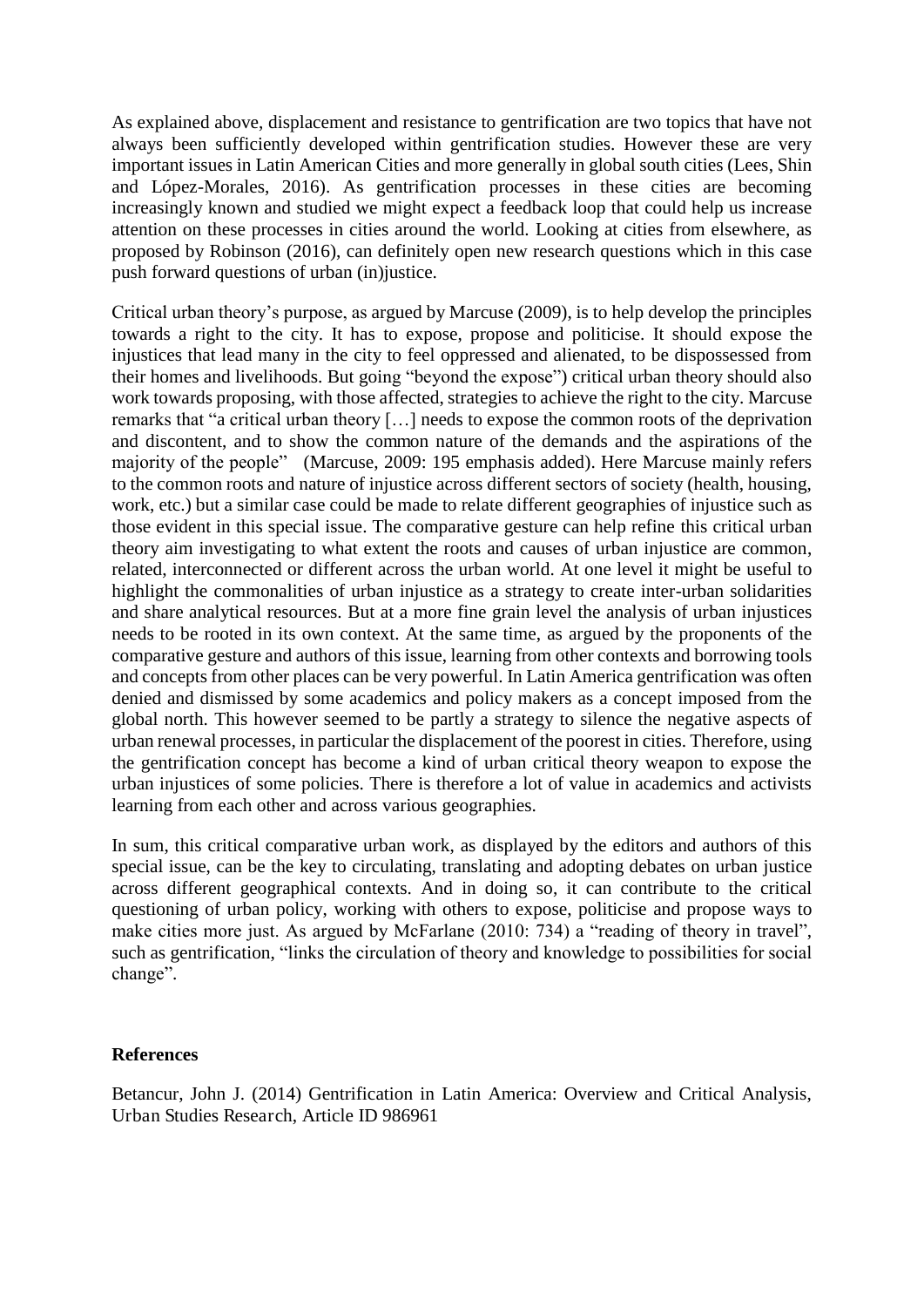As explained above, displacement and resistance to gentrification are two topics that have not always been sufficiently developed within gentrification studies. However these are very important issues in Latin American Cities and more generally in global south cities (Lees, Shin and López-Morales, 2016). As gentrification processes in these cities are becoming increasingly known and studied we might expect a feedback loop that could help us increase attention on these processes in cities around the world. Looking at cities from elsewhere, as proposed by Robinson (2016), can definitely open new research questions which in this case push forward questions of urban (in)justice.

Critical urban theory's purpose, as argued by Marcuse (2009), is to help develop the principles towards a right to the city. It has to expose, propose and politicise. It should expose the injustices that lead many in the city to feel oppressed and alienated, to be dispossessed from their homes and livelihoods. But going "beyond the expose") critical urban theory should also work towards proposing, with those affected, strategies to achieve the right to the city. Marcuse remarks that "a critical urban theory […] needs to expose the common roots of the deprivation and discontent, and to show the common nature of the demands and the aspirations of the majority of the people" (Marcuse, 2009: 195 emphasis added). Here Marcuse mainly refers to the common roots and nature of injustice across different sectors of society (health, housing, work, etc.) but a similar case could be made to relate different geographies of injustice such as those evident in this special issue. The comparative gesture can help refine this critical urban theory aim investigating to what extent the roots and causes of urban injustice are common, related, interconnected or different across the urban world. At one level it might be useful to highlight the commonalities of urban injustice as a strategy to create inter-urban solidarities and share analytical resources. But at a more fine grain level the analysis of urban injustices needs to be rooted in its own context. At the same time, as argued by the proponents of the comparative gesture and authors of this issue, learning from other contexts and borrowing tools and concepts from other places can be very powerful. In Latin America gentrification was often denied and dismissed by some academics and policy makers as a concept imposed from the global north. This however seemed to be partly a strategy to silence the negative aspects of urban renewal processes, in particular the displacement of the poorest in cities. Therefore, using the gentrification concept has become a kind of urban critical theory weapon to expose the urban injustices of some policies. There is therefore a lot of value in academics and activists learning from each other and across various geographies.

In sum, this critical comparative urban work, as displayed by the editors and authors of this special issue, can be the key to circulating, translating and adopting debates on urban justice across different geographical contexts. And in doing so, it can contribute to the critical questioning of urban policy, working with others to expose, politicise and propose ways to make cities more just. As argued by McFarlane (2010: 734) a "reading of theory in travel", such as gentrification, "links the circulation of theory and knowledge to possibilities for social change".

## **References**

Betancur, John J. (2014) Gentrification in Latin America: Overview and Critical Analysis, Urban Studies Research, Article ID 986961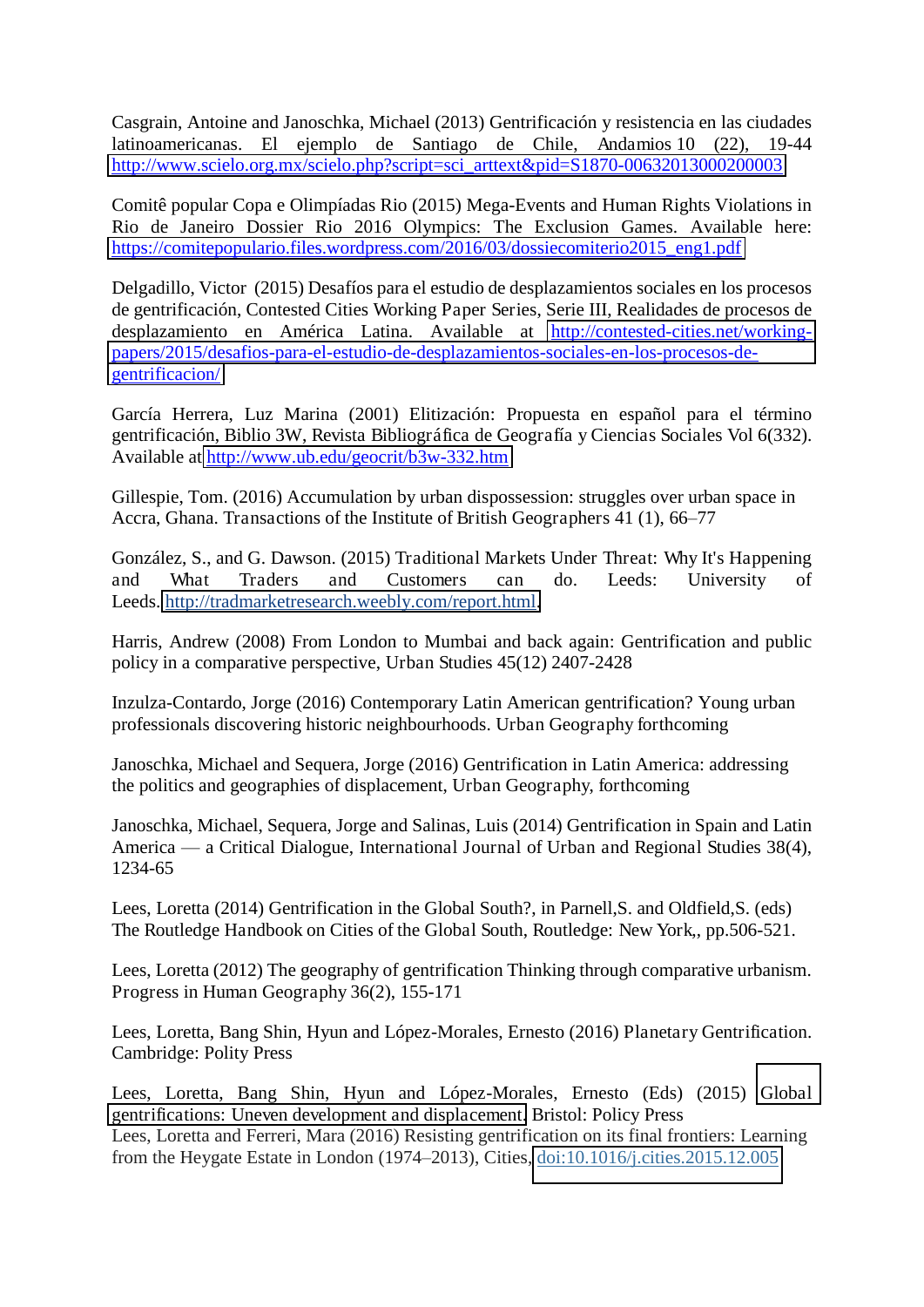Casgrain, Antoine and Janoschka, Michael (2013) Gentrificación y resistencia en las ciudades latinoamericanas. El ejemplo de Santiago de Chile, Andamios 10 (22), 19-44 [http://www.scielo.org.mx/scielo.php?script=sci\\_arttext&pid=S1870-00632013000200003](http://www.scielo.org.mx/scielo.php?script=sci_arttext&pid=S1870-00632013000200003)

Comitê popular Copa e Olimpíadas Rio (2015) Mega-Events and Human Rights Violations in Rio de Janeiro Dossier Rio 2016 Olympics: The Exclusion Games. Available here: https://comitepopulario.files.wordpress.com/2016/03/dossiecomiterio2015\_eng1.pdf

Delgadillo, Victor (2015) Desafíos para el estudio de desplazamientos sociales en los procesos de gentrificación, Contested Cities Working Paper Series, Serie III, Realidades de procesos de desplazamiento en América Latina. Available at [http://contested-cities.net/working](http://contested-cities.net/working-papers/2015/desafios-para-el-estudio-de-desplazamientos-sociales-en-los-procesos-de-gentrificacion/)[papers/2015/desafios-para-el-estudio-de-desplazamientos-sociales-en-los-procesos-de](http://contested-cities.net/working-papers/2015/desafios-para-el-estudio-de-desplazamientos-sociales-en-los-procesos-de-gentrificacion/)[gentrificacion/](http://contested-cities.net/working-papers/2015/desafios-para-el-estudio-de-desplazamientos-sociales-en-los-procesos-de-gentrificacion/) 

García Herrera, Luz Marina (2001) Elitización: Propuesta en español para el término gentrificación, Biblio 3W, Revista Bibliográfica de Geografía y Ciencias Sociales Vol 6(332). Available at<http://www.ub.edu/geocrit/b3w-332.htm>

Gillespie, Tom. (2016) Accumulation by urban dispossession: struggles over urban space in Accra, Ghana. Transactions of the Institute of British Geographers 41 (1), 66–77

González, S., and G. Dawson. (2015) Traditional Markets Under Threat: Why It's Happening and What Traders and Customers can do. Leeds: University of Leeds. [http://tradmarketresearch.weebly.com/report.html.](http://tradmarketresearch.weebly.com/report.html)

Harris, Andrew (2008) From London to Mumbai and back again: Gentrification and public policy in a comparative perspective, Urban Studies 45(12) 2407-2428

Inzulza-Contardo, Jorge (2016) Contemporary Latin American gentrification? Young urban professionals discovering historic neighbourhoods. Urban Geography forthcoming

Janoschka, Michael and Sequera, Jorge (2016) Gentrification in Latin America: addressing the politics and geographies of displacement, Urban Geography, forthcoming

Janoschka, Michael, Sequera, Jorge and Salinas, Luis (2014) Gentrification in Spain and Latin America — a Critical Dialogue, International Journal of Urban and Regional Studies 38(4), 1234-65

Lees, Loretta (2014) Gentrification in the Global South?, in Parnell,S. and Oldfield,S. (eds) The Routledge Handbook on Cities of the Global South, Routledge: New York,, pp.506-521.

Lees, Loretta (2012) The geography of gentrification Thinking through comparative urbanism. Progress in Human Geography 36(2), 155-171

Lees, Loretta, Bang Shin, Hyun and López-Morales, Ernesto (2016) Planetary Gentrification. Cambridge: Polity Press

Lees, Loretta, Bang Shin, Hyun and López-Morales, Ernesto (Eds) (2015) [Global](https://scholar.google.co.uk/citations?view_op=view_citation&hl=en&user=vrJyaCsAAAAJ&sortby=pubdate&citation_for_view=vrJyaCsAAAAJ:KxtntwgDAa4C)  [gentrifications: Uneven development and displacement.](https://scholar.google.co.uk/citations?view_op=view_citation&hl=en&user=vrJyaCsAAAAJ&sortby=pubdate&citation_for_view=vrJyaCsAAAAJ:KxtntwgDAa4C) Bristol: Policy Press Lees, Loretta and Ferreri, Mara (2016) Resisting gentrification on its final frontiers: Learning from the Heygate Estate in London (1974–2013), Cities, [doi:10.1016/j.cities.2015.12.005](http://dx.doi.org/10.1016/j.cities.2015.12.005)